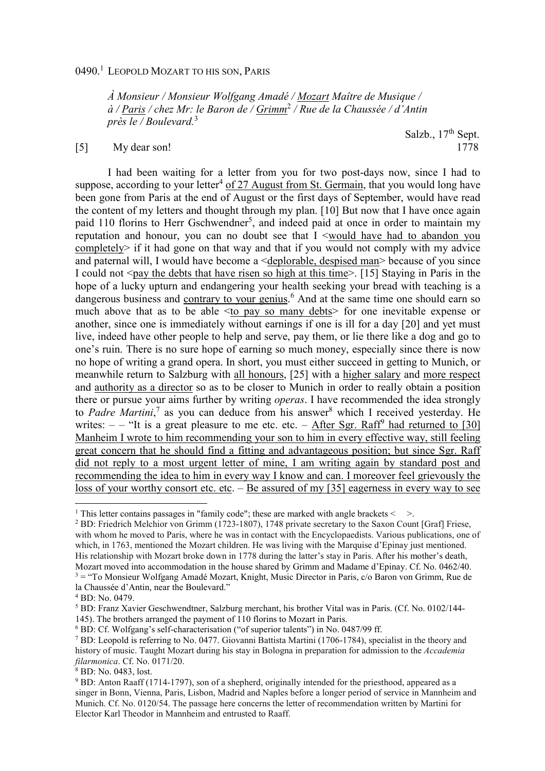## 0490.<sup>1</sup> Leopold Mozart to his son, Paris

*À Monsieur / Monsieur Wolfgang Amadé / Mozart Maître de Musique / à / Paris / chez Mr: le Baron de / Grimm*<sup>2</sup>  */ Rue de la Chaussée / d'Antin près le / Boulevard.*<sup>3</sup>

## [5] My dear son!

Salzb.,  $17<sup>th</sup>$  Sept.<br>1778

I had been waiting for a letter from you for two post-days now, since I had to suppose, according to your letter<sup>4</sup> of 27 August from St. Germain, that you would long have been gone from Paris at the end of August or the first days of September, would have read the content of my letters and thought through my plan. [10] But now that I have once again paid 110 florins to Herr Gschwendner<sup>5</sup>, and indeed paid at once in order to maintain my reputation and honour, you can no doubt see that I <would have had to abandon you completely> if it had gone on that way and that if you would not comply with my advice and paternal will, I would have become a <deplorable, despised man> because of you since I could not  $\leq$  pay the debts that have risen so high at this time $>$ . [15] Staying in Paris in the hope of a lucky upturn and endangering your health seeking your bread with teaching is a dangerous business and contrary to your genius.<sup>6</sup> And at the same time one should earn so much above that as to be able <to pay so many debts> for one inevitable expense or another, since one is immediately without earnings if one is ill for a day [20] and yet must live, indeed have other people to help and serve, pay them, or lie there like a dog and go to one's ruin. There is no sure hope of earning so much money, especially since there is now no hope of writing a grand opera. In short, you must either succeed in getting to Munich, or meanwhile return to Salzburg with all honours, [25] with a higher salary and more respect and authority as a director so as to be closer to Munich in order to really obtain a position there or pursue your aims further by writing *operas*. I have recommended the idea strongly to Padre Martini,<sup>7</sup> as you can deduce from his answer<sup>8</sup> which I received yesterday. He writes:  $-$  – "It is a great pleasure to me etc. etc.  $-$  After Sgr. Raff<sup>9</sup> had returned to [30] Manheim I wrote to him recommending your son to him in every effective way, still feeling great concern that he should find a fitting and advantageous position; but since Sgr. Raff did not reply to a most urgent letter of mine, I am writing again by standard post and recommending the idea to him in every way I know and can. I moreover feel grievously the loss of your worthy consort etc. etc. – Be assured of my [35] eagerness in every way to see

 $\overline{a}$ 

<sup>&</sup>lt;sup>1</sup> This letter contains passages in "family code"; these are marked with angle brackets  $\leq$  >.

<sup>&</sup>lt;sup>2</sup> BD: Friedrich Melchior von Grimm (1723-1807), 1748 private secretary to the Saxon Count [Graf] Friese, with whom he moved to Paris, where he was in contact with the Encyclopaedists. Various publications, one of which, in 1763, mentioned the Mozart children. He was living with the Marquise d'Epinay just mentioned. His relationship with Mozart broke down in 1778 during the latter's stay in Paris. After his mother's death, Mozart moved into accommodation in the house shared by Grimm and Madame d'Epinay. Cf. No. 0462/40. <sup>3</sup> = "To Monsieur Wolfgang Amadé Mozart, Knight, Music Director in Paris, c/o Baron von Grimm, Rue de la Chaussée d'Antin, near the Boulevard."

<sup>4</sup> BD: No. 0479.

<sup>&</sup>lt;sup>5</sup> BD: Franz Xavier Geschwendtner, Salzburg merchant, his brother Vital was in Paris. (Cf. No. 0102/144-145). The brothers arranged the payment of 110 florins to Mozart in Paris.

<sup>6</sup> BD: Cf. Wolfgang's self-characterisation ("of superior talents") in No. 0487/99 ff.

<sup>&</sup>lt;sup>7</sup> BD: Leopold is referring to No. 0477. Giovanni Battista Martini (1706-1784), specialist in the theory and history of music. Taught Mozart during his stay in Bologna in preparation for admission to the *Accademia filarmonica*. Cf. No. 0171/20.

<sup>8</sup> BD: No. 0483, lost.

<sup>&</sup>lt;sup>9</sup> BD: Anton Raaff (1714-1797), son of a shepherd, originally intended for the priesthood, appeared as a singer in Bonn, Vienna, Paris, Lisbon, Madrid and Naples before a longer period of service in Mannheim and Munich. Cf. No. 0120/54. The passage here concerns the letter of recommendation written by Martini for Elector Karl Theodor in Mannheim and entrusted to Raaff.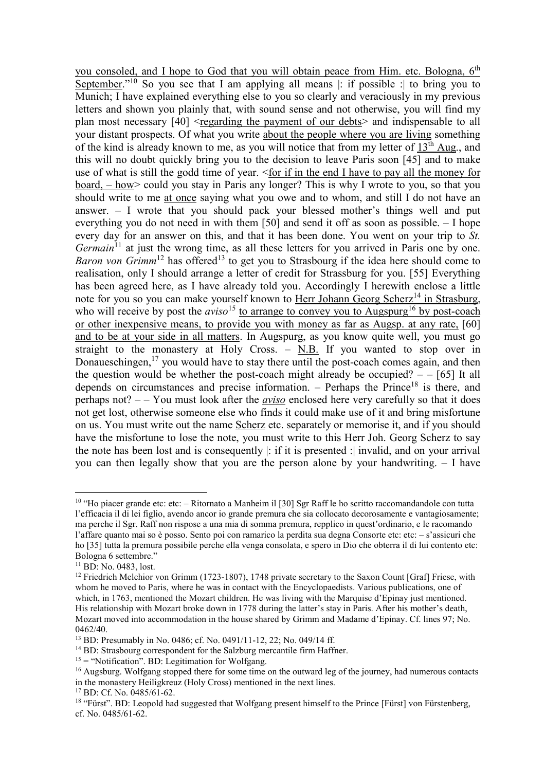you consoled, and I hope to God that you will obtain peace from Him. etc. Bologna, 6<sup>th</sup> September."<sup>10</sup> So you see that I am applying all means  $|$ : if possible : to bring you to Munich; I have explained everything else to you so clearly and veraciously in my previous letters and shown you plainly that, with sound sense and not otherwise, you will find my plan most necessary  $[40]$  <regarding the payment of our debts> and indispensable to all your distant prospects. Of what you write about the people where you are living something of the kind is already known to me, as you will notice that from my letter of 13th Aug., and this will no doubt quickly bring you to the decision to leave Paris soon [45] and to make use of what is still the godd time of year. <for if in the end I have to pay all the money for board, – how> could you stay in Paris any longer? This is why I wrote to you, so that you should write to me at once saying what you owe and to whom, and still I do not have an answer. – I wrote that you should pack your blessed mother's things well and put everything you do not need in with them [50] and send it off as soon as possible. – I hope every day for an answer on this, and that it has been done. You went on your trip to *St. Germain*<sup>11</sup> at just the wrong time, as all these letters for you arrived in Paris one by one. *Baron von Grimm*<sup>12</sup> has offered<sup>13</sup> to get you to Strasbourg if the idea here should come to realisation, only I should arrange a letter of credit for Strassburg for you. [55] Everything has been agreed here, as I have already told you. Accordingly I herewith enclose a little note for you so you can make yourself known to Herr Johann Georg Scherz<sup>14</sup> in Strasburg, who will receive by post the *aviso*<sup>15</sup> to arrange to convey you to Augspurg<sup>16</sup> by post-coach or other inexpensive means, to provide you with money as far as Augsp. at any rate, [60] and to be at your side in all matters. In Augspurg, as you know quite well, you must go straight to the monastery at Holy Cross.  $-$  N.B. If you wanted to stop over in Donaueschingen, $17$  you would have to stay there until the post-coach comes again, and then the question would be whether the post-coach might already be occupied?  $-$  [65] It all depends on circumstances and precise information. – Perhaps the Prince<sup>18</sup> is there, and perhaps not? – – You must look after the *aviso* enclosed here very carefully so that it does not get lost, otherwise someone else who finds it could make use of it and bring misfortune on us. You must write out the name Scherz etc. separately or memorise it, and if you should have the misfortune to lose the note, you must write to this Herr Joh. Georg Scherz to say the note has been lost and is consequently |: if it is presented :| invalid, and on your arrival you can then legally show that you are the person alone by your handwriting. – I have

 $\overline{a}$ 

<sup>&</sup>lt;sup>10</sup> "Ho piacer grande etc: etc: – Ritornato a Manheim il [30] Sgr Raff le ho scritto raccomandandole con tutta l'efficacia il di lei figlio, avendo ancor io grande premura che sia collocato decorosamente e vantagiosamente; ma perche il Sgr. Raff non rispose a una mia di somma premura, repplico in quest'ordinario, e le racomando l'affare quanto mai so è posso. Sento poi con ramarico la perdita sua degna Consorte etc: etc: – s'assicuri che ho [35] tutta la premura possibile perche ella venga consolata, e spero in Dio che obterra il di lui contento etc: Bologna 6 settembre."

<sup>&</sup>lt;sup>11</sup> BD: No. 0483, lost.

<sup>&</sup>lt;sup>12</sup> Friedrich Melchior von Grimm (1723-1807), 1748 private secretary to the Saxon Count [Graf] Friese, with whom he moved to Paris, where he was in contact with the Encyclopaedists. Various publications, one of which, in 1763, mentioned the Mozart children. He was living with the Marquise d'Epinay just mentioned. His relationship with Mozart broke down in 1778 during the latter's stay in Paris. After his mother's death, Mozart moved into accommodation in the house shared by Grimm and Madame d'Epinay. Cf. lines 97; No. 0462/40.

<sup>13</sup> BD: Presumably in No. 0486; cf. No. 0491/11-12, 22; No. 049/14 ff.

<sup>&</sup>lt;sup>14</sup> BD: Strasbourg correspondent for the Salzburg mercantile firm Haffner.

 $15 =$  "Notification". BD: Legitimation for Wolfgang.

<sup>&</sup>lt;sup>16</sup> Augsburg. Wolfgang stopped there for some time on the outward leg of the journey, had numerous contacts in the monastery Heiligkreuz (Holy Cross) mentioned in the next lines.

<sup>17</sup> BD: Cf. No. 0485/61-62.

<sup>&</sup>lt;sup>18</sup> "Fürst". BD: Leopold had suggested that Wolfgang present himself to the Prince [Fürst] von Fürstenberg, cf. No. 0485/61-62.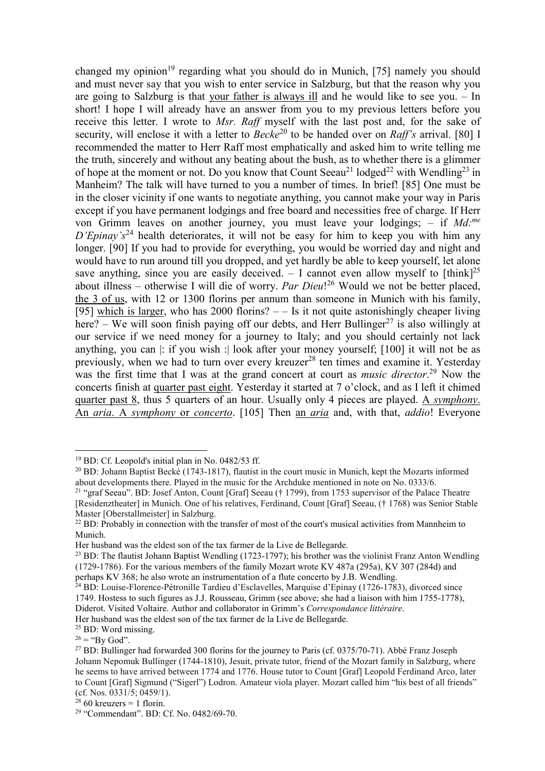changed my opinion<sup>19</sup> regarding what you should do in Munich, [75] namely you should and must never say that you wish to enter service in Salzburg, but that the reason why you are going to Salzburg is that your father is always ill and he would like to see you. – In short! I hope I will already have an answer from you to my previous letters before you receive this letter. I wrote to *Msr. Raff* myself with the last post and, for the sake of security, will enclose it with a letter to *Becke*<sup>20</sup> to be handed over on *Raff's* arrival. [80] I recommended the matter to Herr Raff most emphatically and asked him to write telling me the truth, sincerely and without any beating about the bush, as to whether there is a glimmer of hope at the moment or not. Do you know that Count Seeau<sup>21</sup> lodged<sup>22</sup> with Wendling<sup>23</sup> in Manheim? The talk will have turned to you a number of times. In brief! [85] One must be in the closer vicinity if one wants to negotiate anything, you cannot make your way in Paris except if you have permanent lodgings and free board and necessities free of charge. If Herr von Grimm leaves on another journey, you must leave your lodgings; – if *Md:me D'Epinay's*<sup>24</sup> health deteriorates, it will not be easy for him to keep you with him any longer. [90] If you had to provide for everything, you would be worried day and night and would have to run around till you dropped, and yet hardly be able to keep yourself, let alone save anything, since you are easily deceived.  $-$  I cannot even allow myself to  $[\text{think}]^{25}$ about illness – otherwise I will die of worry. *Par Dieu*! <sup>26</sup> Would we not be better placed, the 3 of us, with 12 or 1300 florins per annum than someone in Munich with his family, [95] which is larger, who has  $2000$  florins?  $-$  Is it not quite astonishingly cheaper living here? – We will soon finish paying off our debts, and Herr Bullinger<sup>27</sup> is also willingly at our service if we need money for a journey to Italy; and you should certainly not lack anything, you can |: if you wish :| look after your money yourself; [100] it will not be as previously, when we had to turn over every kreuzer<sup>28</sup> ten times and examine it. Yesterday was the first time that I was at the grand concert at court as *music director*. <sup>29</sup> Now the concerts finish at quarter past eight. Yesterday it started at 7 o'clock, and as I left it chimed quarter past 8, thus 5 quarters of an hour. Usually only 4 pieces are played. A *symphony*. An *aria*. A *symphony* or *concerto*. [105] Then an *aria* and, with that, *addio*! Everyone

Her husband was the eldest son of the tax farmer de la Live de Bellegarde.

 $\overline{a}$ 

 $28$  60 kreuzers = 1 florin.

<sup>19</sup> BD: Cf. Leopold's initial plan in No. 0482/53 ff.

<sup>20</sup> BD: Johann Baptist Becké (1743-1817), flautist in the court music in Munich, kept the Mozarts informed about developments there. Played in the music for the Archduke mentioned in note on No. 0333/6.

<sup>&</sup>lt;sup>21</sup> "graf Seeau". BD: Josef Anton, Count [Graf] Seeau († 1799), from 1753 supervisor of the Palace Theatre [Residenztheater] in Munich. One of his relatives, Ferdinand, Count [Graf] Seeau, († 1768) was Senior Stable Master [Oberstallmeister] in Salzburg.

<sup>&</sup>lt;sup>22</sup> BD: Probably in connection with the transfer of most of the court's musical activities from Mannheim to Munich.

Her husband was the eldest son of the tax farmer de la Live de Bellegarde.

<sup>&</sup>lt;sup>23</sup> BD: The flautist Johann Baptist Wendling (1723-1797); his brother was the violinist Franz Anton Wendling (1729-1786). For the various members of the family Mozart wrote KV 487a (295a), KV 307 (284d) and perhaps KV 368; he also wrote an instrumentation of a flute concerto by J.B. Wendling.

<sup>&</sup>lt;sup>24</sup> BD: Louise-Florence-Pétronille Tardieu d'Esclavelles, Marquise d'Epinay (1726-1783), divorced since 1749. Hostess to such figures as J.J. Rousseau, Grimm (see above; she had a liaison with him 1755-1778), Diderot. Visited Voltaire. Author and collaborator in Grimm's *Correspondance littéraire*.

<sup>&</sup>lt;sup>25</sup> BD: Word missing.

 $26 =$  "By God".

<sup>&</sup>lt;sup>27</sup> BD: Bullinger had forwarded 300 florins for the journey to Paris (cf. 0375/70-71). Abbé Franz Joseph Johann Nepomuk Bullinger (1744-1810), Jesuit, private tutor, friend of the Mozart family in Salzburg, where he seems to have arrived between 1774 and 1776. House tutor to Count [Graf] Leopold Ferdinand Arco, later to Count [Graf] Sigmund ("Sigerl") Lodron. Amateur viola player. Mozart called him "his best of all friends" (cf. Nos. 0331/5; 0459/1).

<sup>29</sup> "Commendant". BD: Cf. No. 0482/69-70.